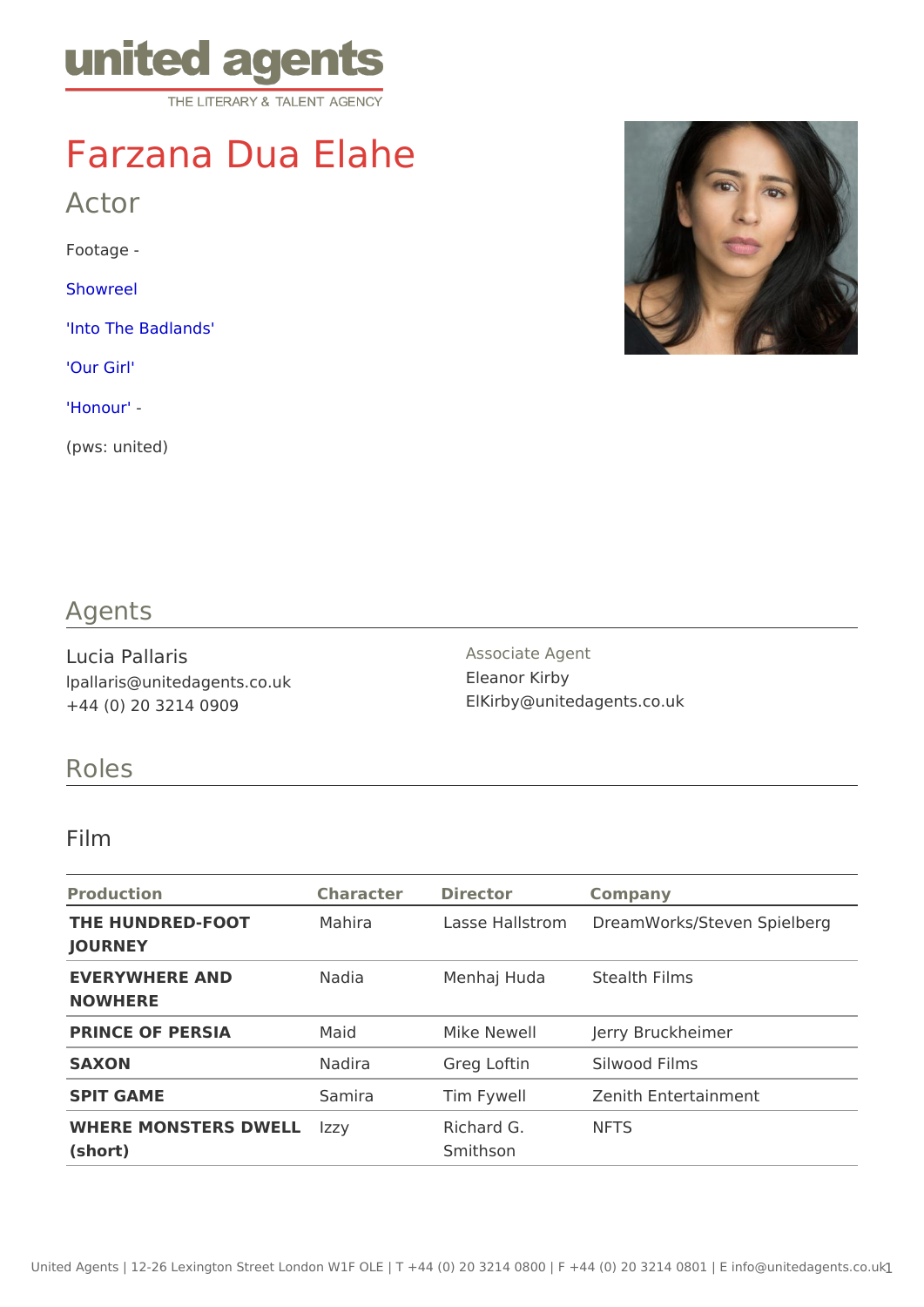# Farzana Dua Elahe

Actor

Footage -

[Showre](https://vimeo.com/649464111)el

['Into The Bad](https://vimeo.com/574065599/4a8bed898d)lands'

['Our G](https://vimeo.com/574065768)irl'

 $'$ Honour'

(pws: united)

### Agents

Lucia Pallaris lpallaris@unitedagents.co.uk +44 (0) 20 3214 0909

Associate Agent Eleanor Kirby ElKirby@unitedagents.co.uk

#### Roles

#### Film

| Production                                  | Character Director |                        | Company                                   |
|---------------------------------------------|--------------------|------------------------|-------------------------------------------|
| THE HUNDRED-FOOT Mahira<br>JOURNEY          |                    |                        | Lasse Hallstr@meam Works/Steven Spielberg |
| EVERYWHERE AND<br>NOWHERE                   | Nadia              |                        | Menhaj Huda Stealth Films                 |
| PRINCE OF PERSIA                            | Maid               | Mike Newell            | Jerry Bruckheimer                         |
| SAXON                                       | Nadira             |                        | Greg Loftin Silwood Films                 |
| SPIT GAME                                   | Samira             | Tim Fywell             | Zenith Entertainment                      |
| WHERE MONSTERS DWEELLY<br>$(s \text{hort})$ |                    | Richard G.<br>Smithson | <b>NFTS</b>                               |